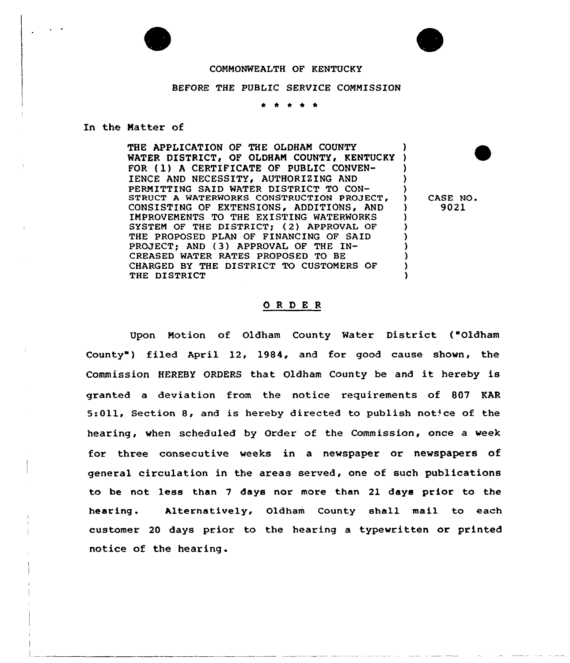## COMMONWEALTH OF KENTUCKY

## BEFORE THE PUBLIC SERVICE COMMISSION

\* \* <sup>4</sup> \*

## In the Matter of

THE APPLICATION OF THE OLDHAM COUNTY WATER DISTRICT, OF OLDHAM COUNTY, KENTUCKY ) FOR (1) A CERTIFICATE OF PUBLIC CONVEN-IENCE AND NECESSITY, AUTHORIZING AND PERMITTING SAID WATER DISTRICT TO CON-STRUCT A WATERWORKS CONSTRUCTION PROJECT, CONSISTING OF EXTENSIONS, ADDITIONS, AND ) IMPROVEMENTS TO THE EXISTING WATERWORKS SYSTEM OF THE DISTRICT; (2) APPROVAL OF THE PROPOSED PLAN OF FINANCING OF SAID PROJECT; AND (3) APPROVAL OF THE IN-CREASED WATER RATES PROPOSED TO BE CHARGED BY THE DISTRICT TO CUSTOMERS OF ) THE DISTRICT

CASE NO. 9021

## ORDER

Upon Motion of Oldham County Water District ("Oldham County") filed April 12, 1984, and for good cause shown, the Commission HEREBY ORDERS that Oldham County be and it hereby is granted a deviation from the notice requirements of 807 KAR 5:011, Section 8, and is hereby directed to publish notice of the hearing, when scheduled by Order of the Commission, once a week for three consecutive weeks in a newspaper or newspapers of general circulation in the areas served, one of such publications to be not less than <sup>7</sup> days nor more than 21 days prior to the hearing. Alternatively, Oldham County shall mail to each customer 20 days prior to the hearing a typewritten or printed notice of the hearing.